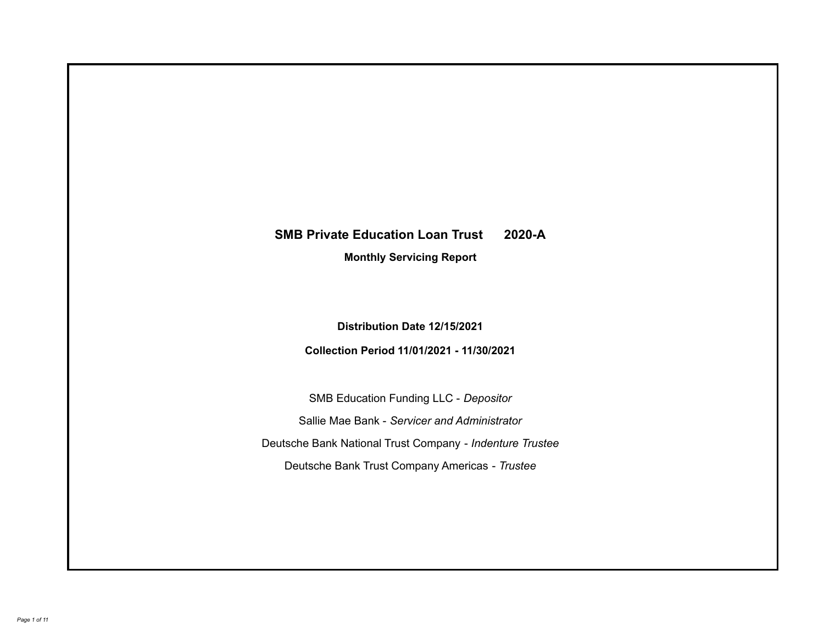# **SMB Private Education Loan Trust 2020-A**

**Monthly Servicing Report**

**Distribution Date 12/15/2021**

**Collection Period 11/01/2021 - 11/30/2021**

SMB Education Funding LLC - *Depositor* Sallie Mae Bank - *Servicer and Administrator* Deutsche Bank National Trust Company - *Indenture Trustee* Deutsche Bank Trust Company Americas - *Trustee*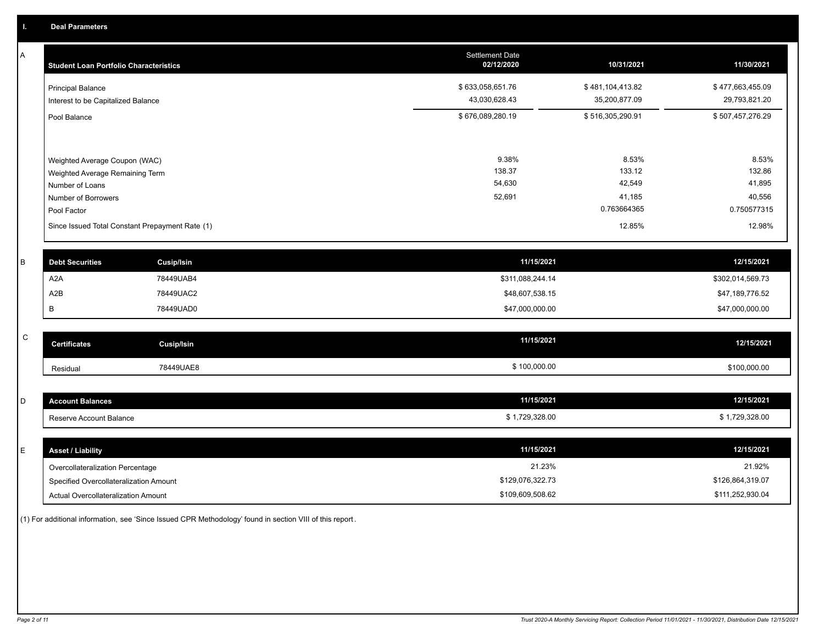A

| A | <b>Student Loan Portfolio Characteristics</b>                  |                                                 | Settlement Date<br>02/12/2020     | 10/31/2021                        | 11/30/2021                        |
|---|----------------------------------------------------------------|-------------------------------------------------|-----------------------------------|-----------------------------------|-----------------------------------|
|   | <b>Principal Balance</b><br>Interest to be Capitalized Balance |                                                 | \$633,058,651.76<br>43,030,628.43 | \$481,104,413.82<br>35,200,877.09 | \$477,663,455.09<br>29,793,821.20 |
|   | Pool Balance                                                   |                                                 | \$676,089,280.19                  | \$516,305,290.91                  | \$507,457,276.29                  |
|   |                                                                |                                                 |                                   |                                   |                                   |
|   | Weighted Average Coupon (WAC)                                  |                                                 | 9.38%                             | 8.53%                             | 8.53%                             |
|   | Weighted Average Remaining Term                                |                                                 | 138.37                            | 133.12                            | 132.86                            |
|   | Number of Loans                                                |                                                 | 54,630                            | 42,549                            | 41,895                            |
|   | Number of Borrowers                                            |                                                 | 52,691                            | 41,185                            | 40,556                            |
|   | Pool Factor                                                    |                                                 |                                   | 0.763664365                       | 0.750577315                       |
|   |                                                                | Since Issued Total Constant Prepayment Rate (1) |                                   | 12.85%                            | 12.98%                            |
|   |                                                                |                                                 |                                   |                                   |                                   |
| в | <b>Debt Securities</b>                                         | <b>Cusip/Isin</b>                               | 11/15/2021                        |                                   | 12/15/2021                        |
|   | A <sub>2</sub> A                                               | 78449UAB4                                       | \$311,088,244.14                  |                                   | \$302,014,569.73                  |
|   | A2B                                                            | 78449UAC2                                       | \$48,607,538.15                   |                                   | \$47,189,776.52                   |
|   | В                                                              | 78449UAD0                                       | \$47,000,000.00                   |                                   | \$47,000,000.00                   |
|   |                                                                |                                                 |                                   |                                   |                                   |

| Certificates | Cusip/Isin | 11/15/2021   | 12/15/2021   |
|--------------|------------|--------------|--------------|
| Residual     | 78449UAE8  | \$100,000.00 | \$100,000.00 |

| count Balances          | 11/15/2021   | 12/15/2021   |
|-------------------------|--------------|--------------|
| Reserve Account Balance | 1,729,328.00 | 1,729,328.00 |
|                         |              |              |

| E. | <b>Asset / Liability</b>               | 11/15/2021       | 12/15/2021       |
|----|----------------------------------------|------------------|------------------|
|    | Overcollateralization Percentage       | 21.23%           | 21.92%           |
|    | Specified Overcollateralization Amount | \$129,076,322.73 | \$126,864,319.07 |
|    | Actual Overcollateralization Amount    | \$109,609,508.62 | \$111,252,930.04 |

(1) For additional information, see 'Since Issued CPR Methodology' found in section VIII of this report .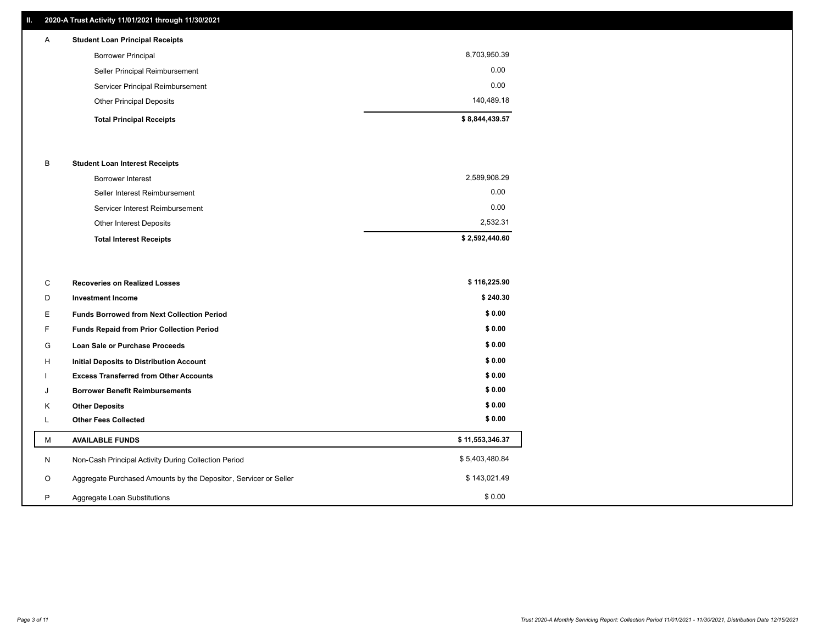#### **II. 2020-A Trust Activity 11/01/2021 through 11/30/2021**

# **Total Principal Receipts \$ 8,844,439.57**  Other Principal Deposits 140,489.18 Servicer Principal Reimbursement 0.00 Seller Principal Reimbursement 0.00 Borrower Principal 8,703,950.39 A **Student Loan Principal Receipts**

#### B **Student Loan Interest Receipts**

| <b>Total Interest Receipts</b>  | \$2,592,440.60 |
|---------------------------------|----------------|
| Other Interest Deposits         | 2,532.31       |
| Servicer Interest Reimbursement | 0.00           |
| Seller Interest Reimbursement   | 0.00           |
| Borrower Interest               | 2,589,908.29   |

| C       | <b>Recoveries on Realized Losses</b>                             | \$116,225.90    |
|---------|------------------------------------------------------------------|-----------------|
| D       | <b>Investment Income</b>                                         | \$240.30        |
| Е.      | <b>Funds Borrowed from Next Collection Period</b>                | \$0.00          |
| F.      | Funds Repaid from Prior Collection Period                        | \$0.00          |
| G       | Loan Sale or Purchase Proceeds                                   | \$0.00          |
| H       | Initial Deposits to Distribution Account                         | \$0.00          |
|         | <b>Excess Transferred from Other Accounts</b>                    | \$0.00          |
| J       | <b>Borrower Benefit Reimbursements</b>                           | \$0.00          |
| K       | <b>Other Deposits</b>                                            | \$0.00          |
|         | <b>Other Fees Collected</b>                                      | \$0.00          |
| м       | <b>AVAILABLE FUNDS</b>                                           | \$11,553,346.37 |
| N       | Non-Cash Principal Activity During Collection Period             | \$5,403,480.84  |
| $\circ$ | Aggregate Purchased Amounts by the Depositor, Servicer or Seller | \$143,021.49    |
| P       | Aggregate Loan Substitutions                                     | \$0.00          |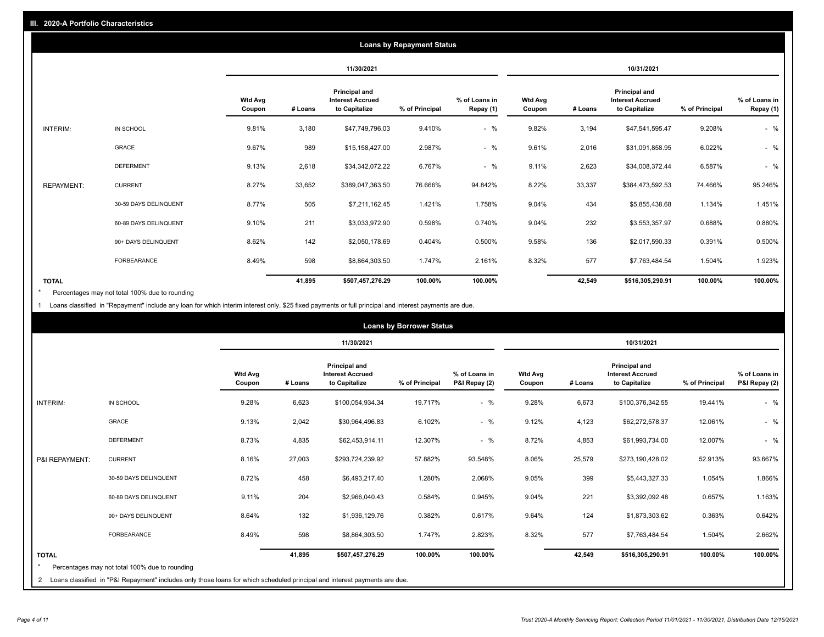| <b>Loans by Repayment Status</b> |                       |                          |            |                                                                  |                |                            |                          |         |                                                           |                |                            |
|----------------------------------|-----------------------|--------------------------|------------|------------------------------------------------------------------|----------------|----------------------------|--------------------------|---------|-----------------------------------------------------------|----------------|----------------------------|
|                                  |                       |                          | 11/30/2021 |                                                                  |                |                            | 10/31/2021               |         |                                                           |                |                            |
|                                  |                       | <b>Wtd Avg</b><br>Coupon | # Loans    | <b>Principal and</b><br><b>Interest Accrued</b><br>to Capitalize | % of Principal | % of Loans in<br>Repay (1) | <b>Wtd Avg</b><br>Coupon | # Loans | Principal and<br><b>Interest Accrued</b><br>to Capitalize | % of Principal | % of Loans in<br>Repay (1) |
| INTERIM:                         | IN SCHOOL             | 9.81%                    | 3,180      | \$47,749,796.03                                                  | 9.410%         | $-$ %                      | 9.82%                    | 3,194   | \$47,541,595.47                                           | 9.208%         | $-$ %                      |
|                                  | GRACE                 | 9.67%                    | 989        | \$15,158,427.00                                                  | 2.987%         | $-$ %                      | 9.61%                    | 2,016   | \$31,091,858.95                                           | 6.022%         | $-$ %                      |
|                                  | <b>DEFERMENT</b>      | 9.13%                    | 2,618      | \$34,342,072.22                                                  | 6.767%         | $-$ %                      | 9.11%                    | 2,623   | \$34,008,372.44                                           | 6.587%         | $-$ %                      |
| <b>REPAYMENT:</b>                | <b>CURRENT</b>        | 8.27%                    | 33,652     | \$389,047,363.50                                                 | 76.666%        | 94.842%                    | 8.22%                    | 33,337  | \$384,473,592.53                                          | 74.466%        | 95.246%                    |
|                                  | 30-59 DAYS DELINQUENT | 8.77%                    | 505        | \$7,211,162.45                                                   | 1.421%         | 1.758%                     | 9.04%                    | 434     | \$5,855,438.68                                            | 1.134%         | 1.451%                     |
|                                  | 60-89 DAYS DELINQUENT | 9.10%                    | 211        | \$3,033,972.90                                                   | 0.598%         | 0.740%                     | 9.04%                    | 232     | \$3,553,357.97                                            | 0.688%         | 0.880%                     |
|                                  | 90+ DAYS DELINQUENT   | 8.62%                    | 142        | \$2,050,178.69                                                   | 0.404%         | 0.500%                     | 9.58%                    | 136     | \$2,017,590.33                                            | 0.391%         | 0.500%                     |
|                                  | <b>FORBEARANCE</b>    | 8.49%                    | 598        | \$8,864,303.50                                                   | 1.747%         | 2.161%                     | 8.32%                    | 577     | \$7,763,484.54                                            | 1.504%         | 1.923%                     |
| <b>TOTAL</b>                     |                       |                          | 41,895     | \$507,457,276.29                                                 | 100.00%        | 100.00%                    |                          | 42,549  | \$516,305,290.91                                          | 100.00%        | 100.00%                    |

Percentages may not total 100% due to rounding \*

1 Loans classified in "Repayment" include any loan for which interim interest only, \$25 fixed payments or full principal and interest payments are due.

| <b>Loans by Borrower Status</b> |                                                                                                                              |                          |            |                                                           |                |                                |                          |            |                                                                  |                |                                |
|---------------------------------|------------------------------------------------------------------------------------------------------------------------------|--------------------------|------------|-----------------------------------------------------------|----------------|--------------------------------|--------------------------|------------|------------------------------------------------------------------|----------------|--------------------------------|
|                                 |                                                                                                                              |                          | 11/30/2021 |                                                           |                |                                |                          | 10/31/2021 |                                                                  |                |                                |
|                                 |                                                                                                                              | <b>Wtd Avg</b><br>Coupon | # Loans    | Principal and<br><b>Interest Accrued</b><br>to Capitalize | % of Principal | % of Loans in<br>P&I Repay (2) | <b>Wtd Avg</b><br>Coupon | # Loans    | <b>Principal and</b><br><b>Interest Accrued</b><br>to Capitalize | % of Principal | % of Loans in<br>P&I Repay (2) |
| <b>INTERIM:</b>                 | IN SCHOOL                                                                                                                    | 9.28%                    | 6,623      | \$100,054,934.34                                          | 19.717%        | $-$ %                          | 9.28%                    | 6,673      | \$100,376,342.55                                                 | 19.441%        | $-$ %                          |
|                                 | <b>GRACE</b>                                                                                                                 | 9.13%                    | 2,042      | \$30,964,496.83                                           | 6.102%         | $-$ %                          | 9.12%                    | 4,123      | \$62,272,578.37                                                  | 12.061%        | $-$ %                          |
|                                 | <b>DEFERMENT</b>                                                                                                             | 8.73%                    | 4,835      | \$62,453,914.11                                           | 12.307%        | $-$ %                          | 8.72%                    | 4,853      | \$61,993,734.00                                                  | 12.007%        | $-$ %                          |
| P&I REPAYMENT:                  | <b>CURRENT</b>                                                                                                               | 8.16%                    | 27,003     | \$293,724,239.92                                          | 57.882%        | 93.548%                        | 8.06%                    | 25,579     | \$273,190,428.02                                                 | 52.913%        | 93.667%                        |
|                                 | 30-59 DAYS DELINQUENT                                                                                                        | 8.72%                    | 458        | \$6,493,217.40                                            | 1.280%         | 2.068%                         | 9.05%                    | 399        | \$5,443,327.33                                                   | 1.054%         | 1.866%                         |
|                                 | 60-89 DAYS DELINQUENT                                                                                                        | 9.11%                    | 204        | \$2,966,040.43                                            | 0.584%         | 0.945%                         | 9.04%                    | 221        | \$3,392,092.48                                                   | 0.657%         | 1.163%                         |
|                                 | 90+ DAYS DELINQUENT                                                                                                          | 8.64%                    | 132        | \$1,936,129.76                                            | 0.382%         | 0.617%                         | 9.64%                    | 124        | \$1,873,303.62                                                   | 0.363%         | 0.642%                         |
|                                 | <b>FORBEARANCE</b>                                                                                                           | 8.49%                    | 598        | \$8,864,303.50                                            | 1.747%         | 2.823%                         | 8.32%                    | 577        | \$7,763,484.54                                                   | 1.504%         | 2.662%                         |
| <b>TOTAL</b><br>$\star$         | Percentages may not total 100% due to rounding                                                                               |                          | 41,895     | \$507,457,276.29                                          | 100.00%        | 100.00%                        |                          | 42,549     | \$516,305,290.91                                                 | 100.00%        | 100.00%                        |
|                                 | 2 Loans classified in "P&I Repayment" includes only those loans for which scheduled principal and interest payments are due. |                          |            |                                                           |                |                                |                          |            |                                                                  |                |                                |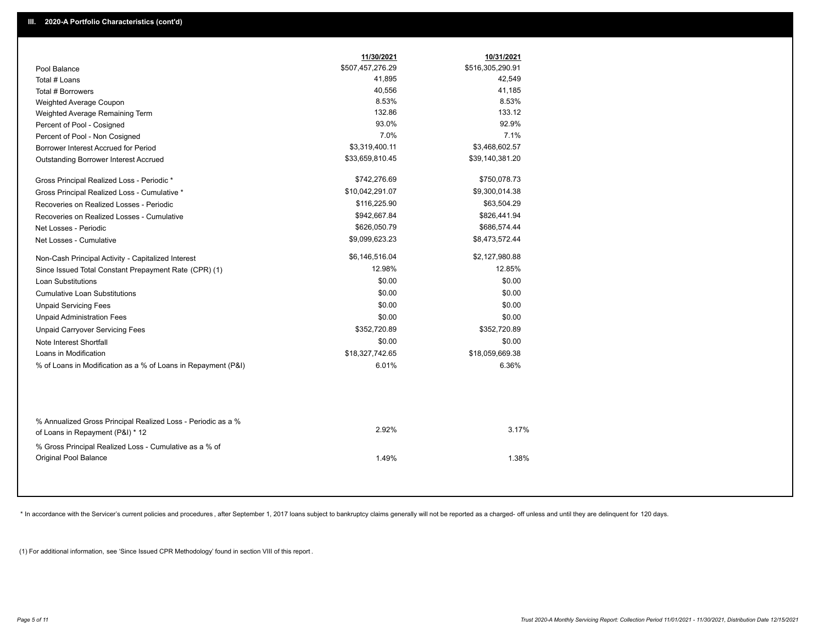|                                                                                                  | 11/30/2021       | 10/31/2021       |
|--------------------------------------------------------------------------------------------------|------------------|------------------|
| Pool Balance                                                                                     | \$507,457,276.29 | \$516,305,290.91 |
| Total # Loans                                                                                    | 41,895           | 42,549           |
| Total # Borrowers                                                                                | 40,556           | 41,185           |
| Weighted Average Coupon                                                                          | 8.53%            | 8.53%            |
| Weighted Average Remaining Term                                                                  | 132.86           | 133.12           |
| Percent of Pool - Cosigned                                                                       | 93.0%            | 92.9%            |
| Percent of Pool - Non Cosigned                                                                   | 7.0%             | 7.1%             |
| Borrower Interest Accrued for Period                                                             | \$3,319,400.11   | \$3,468,602.57   |
| Outstanding Borrower Interest Accrued                                                            | \$33,659,810.45  | \$39,140,381.20  |
| Gross Principal Realized Loss - Periodic *                                                       | \$742,276.69     | \$750,078.73     |
| Gross Principal Realized Loss - Cumulative *                                                     | \$10,042,291.07  | \$9,300,014.38   |
| Recoveries on Realized Losses - Periodic                                                         | \$116,225.90     | \$63,504.29      |
| Recoveries on Realized Losses - Cumulative                                                       | \$942,667.84     | \$826,441.94     |
| Net Losses - Periodic                                                                            | \$626,050.79     | \$686,574.44     |
| Net Losses - Cumulative                                                                          | \$9,099,623.23   | \$8,473,572.44   |
| Non-Cash Principal Activity - Capitalized Interest                                               | \$6,146,516.04   | \$2,127,980.88   |
| Since Issued Total Constant Prepayment Rate (CPR) (1)                                            | 12.98%           | 12.85%           |
| <b>Loan Substitutions</b>                                                                        | \$0.00           | \$0.00           |
| <b>Cumulative Loan Substitutions</b>                                                             | \$0.00           | \$0.00           |
| <b>Unpaid Servicing Fees</b>                                                                     | \$0.00           | \$0.00           |
| <b>Unpaid Administration Fees</b>                                                                | \$0.00           | \$0.00           |
| <b>Unpaid Carryover Servicing Fees</b>                                                           | \$352,720.89     | \$352,720.89     |
| Note Interest Shortfall                                                                          | \$0.00           | \$0.00           |
| Loans in Modification                                                                            | \$18,327,742.65  | \$18,059,669.38  |
| % of Loans in Modification as a % of Loans in Repayment (P&I)                                    | 6.01%            | 6.36%            |
|                                                                                                  |                  |                  |
| % Annualized Gross Principal Realized Loss - Periodic as a %<br>of Loans in Repayment (P&I) * 12 | 2.92%            | 3.17%            |
| % Gross Principal Realized Loss - Cumulative as a % of<br>Original Pool Balance                  | 1.49%            | 1.38%            |
|                                                                                                  |                  |                  |

\* In accordance with the Servicer's current policies and procedures, after September 1, 2017 loans subject to bankruptcy claims generally will not be reported as a charged- off unless and until they are delinquent for 120

(1) For additional information, see 'Since Issued CPR Methodology' found in section VIII of this report .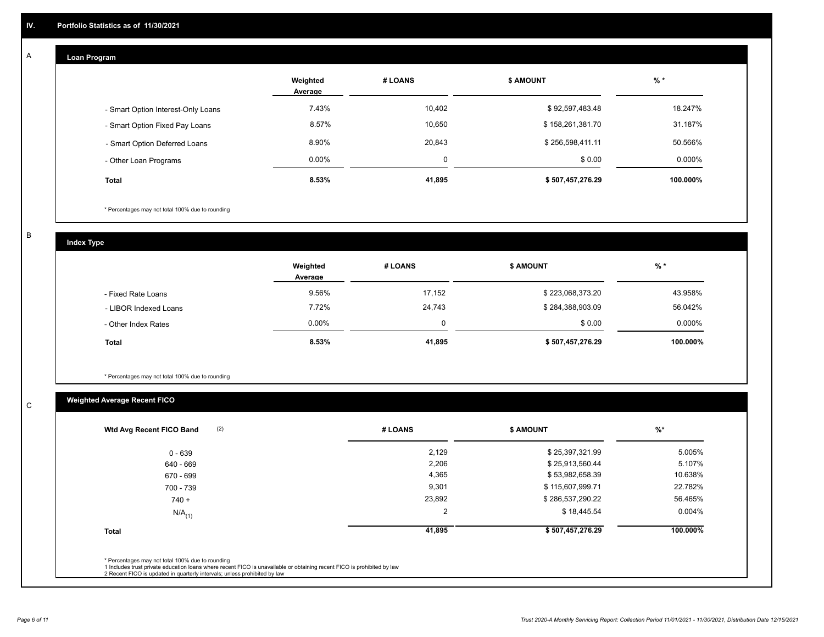## **Loan Program**

A

|                                    | Weighted<br>Average | # LOANS  | <b>\$ AMOUNT</b> | $%$ *    |
|------------------------------------|---------------------|----------|------------------|----------|
| - Smart Option Interest-Only Loans | 7.43%               | 10,402   | \$92,597,483.48  | 18.247%  |
| - Smart Option Fixed Pay Loans     | 8.57%               | 10,650   | \$158,261,381.70 | 31.187%  |
| - Smart Option Deferred Loans      | 8.90%               | 20,843   | \$256,598,411.11 | 50.566%  |
| - Other Loan Programs              | $0.00\%$            | $\Omega$ | \$0.00           | 0.000%   |
| <b>Total</b>                       | 8.53%               | 41,895   | \$507,457,276.29 | 100.000% |

\* Percentages may not total 100% due to rounding

B

C

**Index Type**

|                       | Weighted<br>Average | # LOANS  | <b>\$ AMOUNT</b> | % *      |
|-----------------------|---------------------|----------|------------------|----------|
| - Fixed Rate Loans    | 9.56%               | 17,152   | \$223,068,373.20 | 43.958%  |
| - LIBOR Indexed Loans | 7.72%               | 24,743   | \$284,388,903.09 | 56.042%  |
| - Other Index Rates   | $0.00\%$            | $\Omega$ | \$0.00           | 0.000%   |
| <b>Total</b>          | 8.53%               | 41,895   | \$507,457,276.29 | 100.000% |

\* Percentages may not total 100% due to rounding

# **Weighted Average Recent FICO**

| (2)<br>Wtd Avg Recent FICO Band | # LOANS | <b>\$ AMOUNT</b> | $\frac{9}{6}$ * |
|---------------------------------|---------|------------------|-----------------|
| $0 - 639$                       | 2,129   | \$25,397,321.99  | 5.005%          |
| 640 - 669                       | 2,206   | \$25,913,560.44  | 5.107%          |
| 670 - 699                       | 4,365   | \$53,982,658.39  | 10.638%         |
| 700 - 739                       | 9,301   | \$115,607,999.71 | 22.782%         |
| $740 +$                         | 23,892  | \$286,537,290.22 | 56.465%         |
| $N/A$ <sub>(1)</sub>            | 2       | \$18,445.54      | $0.004\%$       |
| <b>Total</b>                    | 41,895  | \$507,457,276.29 | 100.000%        |
|                                 |         |                  |                 |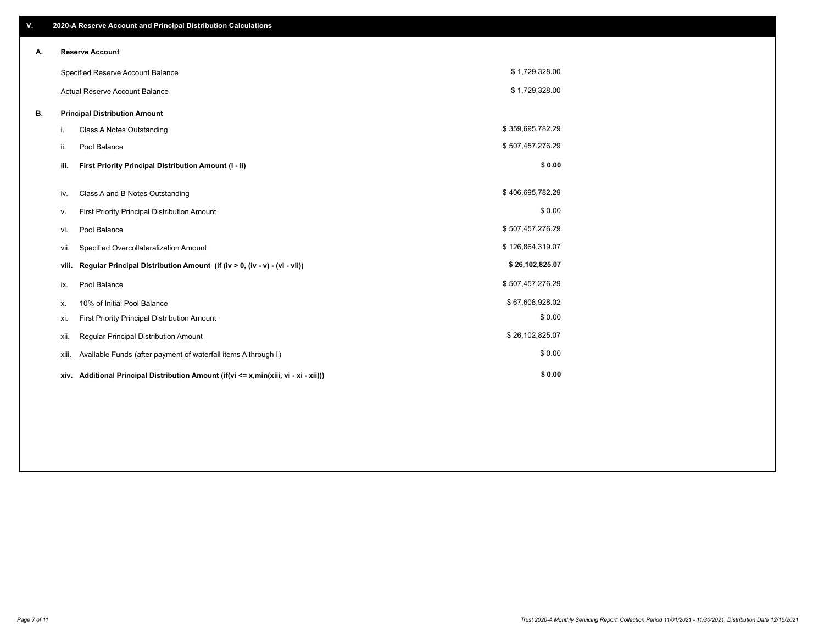| V. |       | 2020-A Reserve Account and Principal Distribution Calculations                       |                  |  |
|----|-------|--------------------------------------------------------------------------------------|------------------|--|
| А. |       | <b>Reserve Account</b>                                                               |                  |  |
|    |       | Specified Reserve Account Balance                                                    | \$1,729,328.00   |  |
|    |       | <b>Actual Reserve Account Balance</b>                                                | \$1,729,328.00   |  |
| В. |       | <b>Principal Distribution Amount</b>                                                 |                  |  |
|    | i.    | Class A Notes Outstanding                                                            | \$359,695,782.29 |  |
|    | ii.   | Pool Balance                                                                         | \$507,457,276.29 |  |
|    | iii.  | First Priority Principal Distribution Amount (i - ii)                                | \$0.00           |  |
|    | iv.   | Class A and B Notes Outstanding                                                      | \$406,695,782.29 |  |
|    | ٧.    | First Priority Principal Distribution Amount                                         | \$0.00           |  |
|    | vi.   | Pool Balance                                                                         | \$507,457,276.29 |  |
|    | vii.  | Specified Overcollateralization Amount                                               | \$126,864,319.07 |  |
|    | viii. | Regular Principal Distribution Amount (if (iv > 0, (iv - v) - (vi - vii))            | \$26,102,825.07  |  |
|    | ix.   | Pool Balance                                                                         | \$507,457,276.29 |  |
|    | х.    | 10% of Initial Pool Balance                                                          | \$67,608,928.02  |  |
|    | xi.   | First Priority Principal Distribution Amount                                         | \$0.00           |  |
|    | хii.  | Regular Principal Distribution Amount                                                | \$26,102,825.07  |  |
|    | xiii. | Available Funds (after payment of waterfall items A through I)                       | \$0.00           |  |
|    |       | xiv. Additional Principal Distribution Amount (if(vi <= x,min(xiii, vi - xi - xii))) | \$0.00           |  |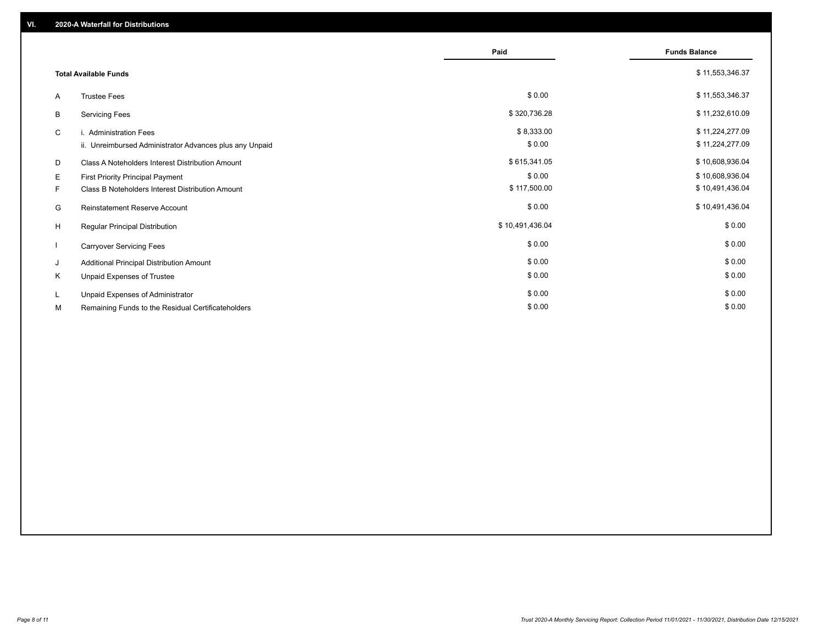|    |                                                         | Paid            | <b>Funds Balance</b> |
|----|---------------------------------------------------------|-----------------|----------------------|
|    | <b>Total Available Funds</b>                            |                 | \$11,553,346.37      |
| A  | <b>Trustee Fees</b>                                     | \$0.00          | \$11,553,346.37      |
| В  | <b>Servicing Fees</b>                                   | \$320,736.28    | \$11,232,610.09      |
| C  | i. Administration Fees                                  | \$8,333.00      | \$11,224,277.09      |
|    | ii. Unreimbursed Administrator Advances plus any Unpaid | \$0.00          | \$11,224,277.09      |
| D  | Class A Noteholders Interest Distribution Amount        | \$615,341.05    | \$10,608,936.04      |
| Е  | First Priority Principal Payment                        | \$0.00          | \$10,608,936.04      |
| F. | Class B Noteholders Interest Distribution Amount        | \$117,500.00    | \$10,491,436.04      |
| G  | <b>Reinstatement Reserve Account</b>                    | \$0.00          | \$10,491,436.04      |
| H  | Regular Principal Distribution                          | \$10,491,436.04 | \$0.00               |
|    | <b>Carryover Servicing Fees</b>                         | \$0.00          | \$0.00               |
| J  | Additional Principal Distribution Amount                | \$0.00          | \$0.00               |
| Κ  | Unpaid Expenses of Trustee                              | \$0.00          | \$0.00               |
| L. | Unpaid Expenses of Administrator                        | \$0.00          | \$0.00               |
| М  | Remaining Funds to the Residual Certificateholders      | \$0.00          | \$0.00               |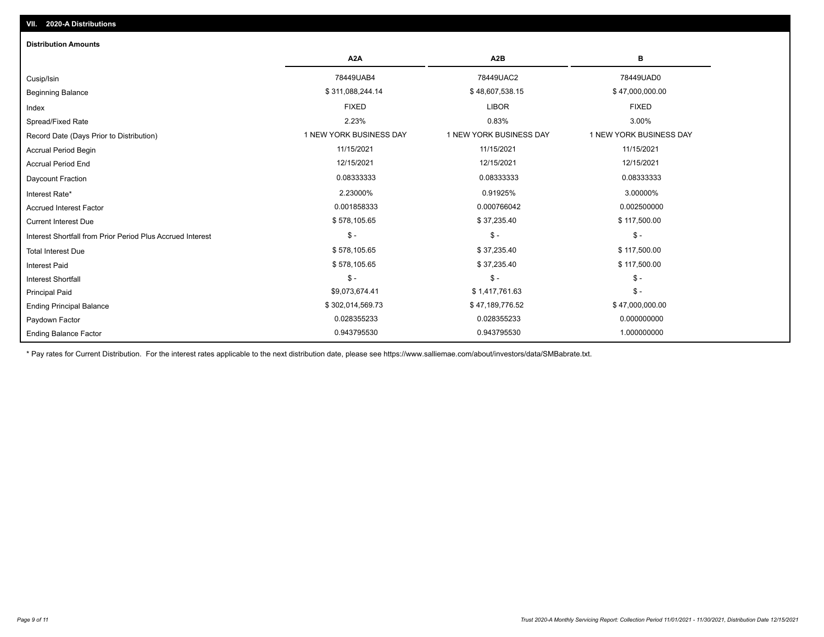| <b>Distribution Amounts</b>                                |                         |                         |                         |
|------------------------------------------------------------|-------------------------|-------------------------|-------------------------|
|                                                            | A <sub>2</sub> A        | A <sub>2</sub> B        | в                       |
| Cusip/Isin                                                 | 78449UAB4               | 78449UAC2               | 78449UAD0               |
| <b>Beginning Balance</b>                                   | \$311,088,244.14        | \$48,607,538.15         | \$47,000,000.00         |
| Index                                                      | <b>FIXED</b>            | <b>LIBOR</b>            | <b>FIXED</b>            |
| Spread/Fixed Rate                                          | 2.23%                   | 0.83%                   | 3.00%                   |
| Record Date (Days Prior to Distribution)                   | 1 NEW YORK BUSINESS DAY | 1 NEW YORK BUSINESS DAY | 1 NEW YORK BUSINESS DAY |
| <b>Accrual Period Begin</b>                                | 11/15/2021              | 11/15/2021              | 11/15/2021              |
| <b>Accrual Period End</b>                                  | 12/15/2021              | 12/15/2021              | 12/15/2021              |
| Daycount Fraction                                          | 0.08333333              | 0.08333333              | 0.08333333              |
| Interest Rate*                                             | 2.23000%                | 0.91925%                | 3.00000%                |
| <b>Accrued Interest Factor</b>                             | 0.001858333             | 0.000766042             | 0.002500000             |
| <b>Current Interest Due</b>                                | \$578,105.65            | \$37,235.40             | \$117,500.00            |
| Interest Shortfall from Prior Period Plus Accrued Interest | $\mathsf{\$}$ -         | $$ -$                   | $\mathsf{\$}$ -         |
| <b>Total Interest Due</b>                                  | \$578,105.65            | \$37,235.40             | \$117,500.00            |
| <b>Interest Paid</b>                                       | \$578,105.65            | \$37,235.40             | \$117,500.00            |
| <b>Interest Shortfall</b>                                  | $\mathsf{\$}$ -         | $$ -$                   | $\frac{1}{2}$           |
| <b>Principal Paid</b>                                      | \$9,073,674.41          | \$1,417,761.63          | $$ -$                   |
| <b>Ending Principal Balance</b>                            | \$302,014,569.73        | \$47,189,776.52         | \$47,000,000.00         |
| Paydown Factor                                             | 0.028355233             | 0.028355233             | 0.000000000             |
| <b>Ending Balance Factor</b>                               | 0.943795530             | 0.943795530             | 1.000000000             |

\* Pay rates for Current Distribution. For the interest rates applicable to the next distribution date, please see https://www.salliemae.com/about/investors/data/SMBabrate.txt.

**VII. 2020-A Distributions**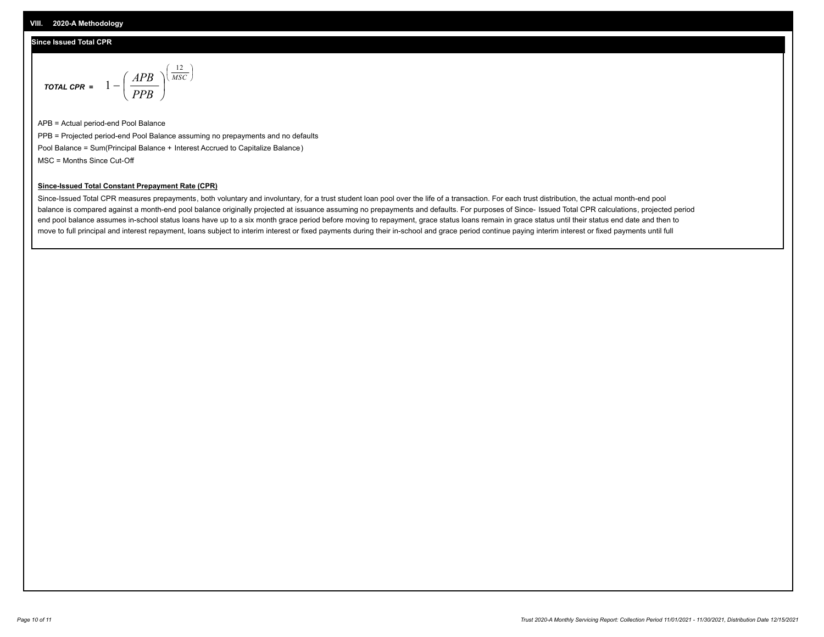#### **Since Issued Total CPR**

$$
\text{total CPR} = 1 - \left(\frac{APB}{PPB}\right)^{\left(\frac{12}{MSC}\right)}
$$

APB = Actual period-end Pool Balance PPB = Projected period-end Pool Balance assuming no prepayments and no defaults Pool Balance = Sum(Principal Balance + Interest Accrued to Capitalize Balance) MSC = Months Since Cut-Off

I J Ι

#### **Since-Issued Total Constant Prepayment Rate (CPR)**

Since-Issued Total CPR measures prepayments, both voluntary and involuntary, for a trust student loan pool over the life of a transaction. For each trust distribution, the actual month-end pool balance is compared against a month-end pool balance originally projected at issuance assuming no prepayments and defaults. For purposes of Since- Issued Total CPR calculations, projected period end pool balance assumes in-school status loans have up to a six month grace period before moving to repayment, grace status loans remain in grace status until their status end date and then to move to full principal and interest repayment, loans subject to interim interest or fixed payments during their in-school and grace period continue paying interim interest or fixed payments until full